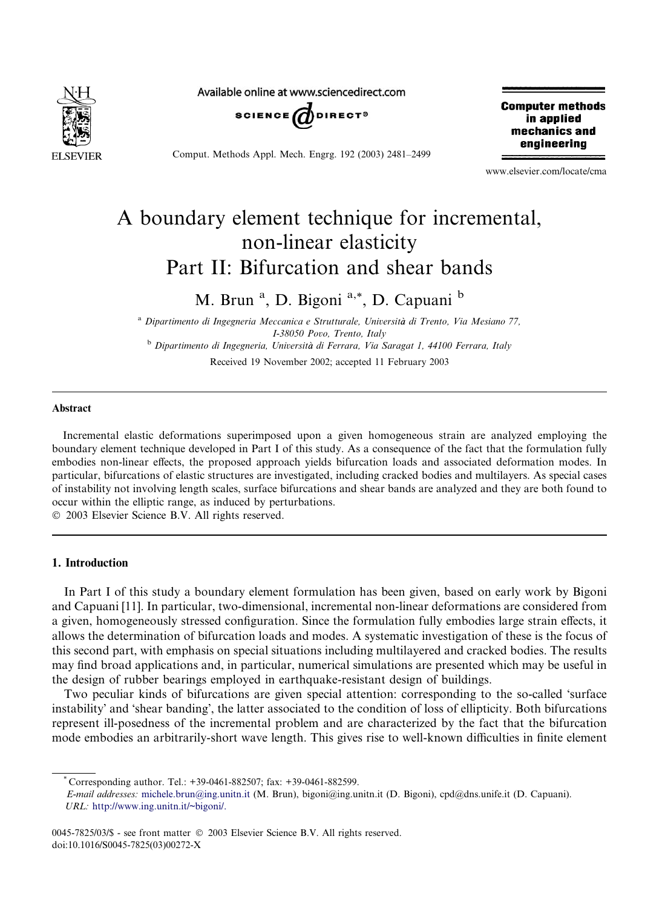

Available online at www.sciencedirect.com



Comput. Methods Appl. Mech. Engrg. 192 (2003) 2481–2499

**Computer methods** in applied mechanics and engineering

www.elsevier.com/locate/cma

# A boundary element technique for incremental, non-linear elasticity Part II: Bifurcation and shear bands

M. Brun<sup>a</sup>, D. Bigoni<sup>a,\*</sup>, D. Capuani<sup>b</sup>

<sup>a</sup> Dipartimento di Ingegneria Meccanica e Strutturale, Università di Trento, Via Mesiano 77, I-38050 Povo, Trento, Italy <sup>b</sup> Dipartimento di Ingegneria, Università di Ferrara, Via Saragat 1, 44100 Ferrara, Italy Received 19 November 2002; accepted 11 February 2003

# Abstract

Incremental elastic deformations superimposed upon a given homogeneous strain are analyzed employing the boundary element technique developed in Part I of this study. As a consequence of the fact that the formulation fully embodies non-linear effects, the proposed approach yields bifurcation loads and associated deformation modes. In particular, bifurcations of elastic structures are investigated, including cracked bodies and multilayers. As special cases of instability not involving length scales, surface bifurcations and shear bands are analyzed and they are both found to occur within the elliptic range, as induced by perturbations.

2003 Elsevier Science B.V. All rights reserved.

# 1. Introduction

In Part I of this study a boundary element formulation has been given, based on early work by Bigoni and Capuani [11]. In particular, two-dimensional, incremental non-linear deformations are considered from a given, homogeneously stressed configuration. Since the formulation fully embodies large strain effects, it allows the determination of bifurcation loads and modes. A systematic investigation of these is the focus of this second part, with emphasis on special situations including multilayered and cracked bodies. The results may find broad applications and, in particular, numerical simulations are presented which may be useful in the design of rubber bearings employed in earthquake-resistant design of buildings.

Two peculiar kinds of bifurcations are given special attention: corresponding to the so-called 'surface instability' and 'shear banding', the latter associated to the condition of loss of ellipticity. Both bifurcations represent ill-posedness of the incremental problem and are characterized by the fact that the bifurcation mode embodies an arbitrarily-short wave length. This gives rise to well-known difficulties in finite element

<sup>\*</sup> Corresponding author. Tel.: +39-0461-882507; fax: +39-0461-882599.

E-mail addresses: [michele.brun@ing.unitn.it](mail to: michele.brun@ing.unitn.it) (M. Brun), bigoni@ing.unitn.it (D. Bigoni), cpd@dns.unife.it (D. Capuani). URL: [http://www.ing.unitn.it/~bigoni/.](http://www.ing.unitn.it/~bigoni/)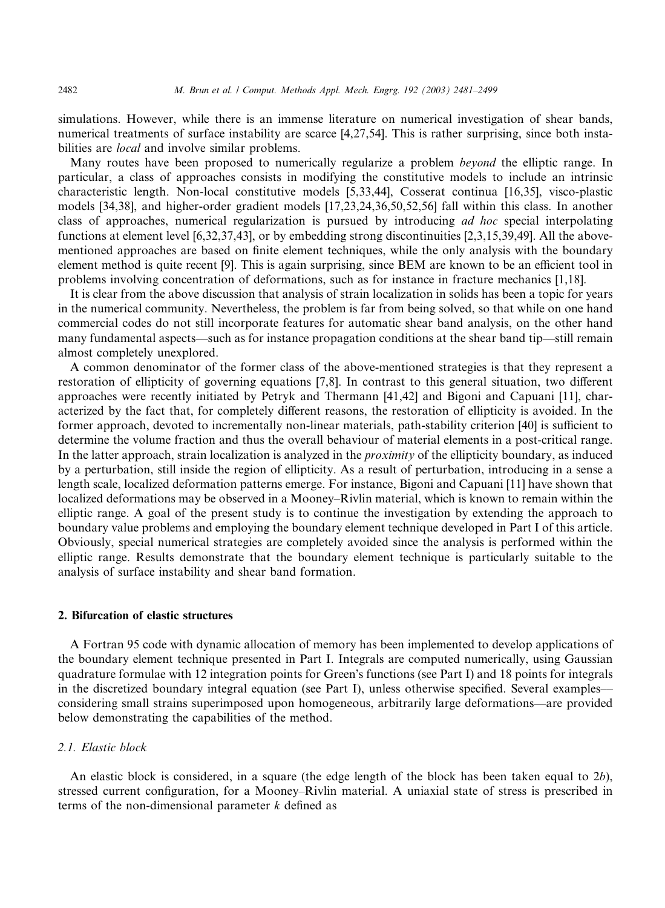simulations. However, while there is an immense literature on numerical investigation of shear bands, numerical treatments of surface instability are scarce [4,27,54]. This is rather surprising, since both instabilities are *local* and involve similar problems.

Many routes have been proposed to numerically regularize a problem *beyond* the elliptic range. In particular, a class of approaches consists in modifying the constitutive models to include an intrinsic characteristic length. Non-local constitutive models [5,33,44], Cosserat continua [16,35], visco-plastic models [34,38], and higher-order gradient models [17,23,24,36,50,52,56] fall within this class. In another class of approaches, numerical regularization is pursued by introducing ad hoc special interpolating functions at element level [6,32,37,43], or by embedding strong discontinuities [2,3,15,39,49]. All the abovementioned approaches are based on finite element techniques, while the only analysis with the boundary element method is quite recent [9]. This is again surprising, since BEM are known to be an efficient tool in problems involving concentration of deformations, such as for instance in fracture mechanics [1,18].

It is clear from the above discussion that analysis of strain localization in solids has been a topic for years in the numerical community. Nevertheless, the problem is far from being solved, so that while on one hand commercial codes do not still incorporate features for automatic shear band analysis, on the other hand many fundamental aspects––such as for instance propagation conditions at the shear band tip––still remain almost completely unexplored.

A common denominator of the former class of the above-mentioned strategies is that they represent a restoration of ellipticity of governing equations [7,8]. In contrast to this general situation, two different approaches were recently initiated by Petryk and Thermann [41,42] and Bigoni and Capuani [11], characterized by the fact that, for completely different reasons, the restoration of ellipticity is avoided. In the former approach, devoted to incrementally non-linear materials, path-stability criterion [40] is sufficient to determine the volume fraction and thus the overall behaviour of material elements in a post-critical range. In the latter approach, strain localization is analyzed in the *proximity* of the ellipticity boundary, as induced by a perturbation, still inside the region of ellipticity. As a result of perturbation, introducing in a sense a length scale, localized deformation patterns emerge. For instance, Bigoni and Capuani [11] have shown that localized deformations may be observed in a Mooney–Rivlin material, which is known to remain within the elliptic range. A goal of the present study is to continue the investigation by extending the approach to boundary value problems and employing the boundary element technique developed in Part I of this article. Obviously, special numerical strategies are completely avoided since the analysis is performed within the elliptic range. Results demonstrate that the boundary element technique is particularly suitable to the analysis of surface instability and shear band formation.

# 2. Bifurcation of elastic structures

A Fortran 95 code with dynamic allocation of memory has been implemented to develop applications of the boundary element technique presented in Part I. Integrals are computed numerically, using Gaussian quadrature formulae with 12 integration points for Green's functions (see Part I) and 18 points for integrals in the discretized boundary integral equation (see Part I), unless otherwise specified. Several examples–– considering small strains superimposed upon homogeneous, arbitrarily large deformations––are provided below demonstrating the capabilities of the method.

## 2.1. Elastic block

An elastic block is considered, in a square (the edge length of the block has been taken equal to 2b), stressed current configuration, for a Mooney–Rivlin material. A uniaxial state of stress is prescribed in terms of the non-dimensional parameter  $k$  defined as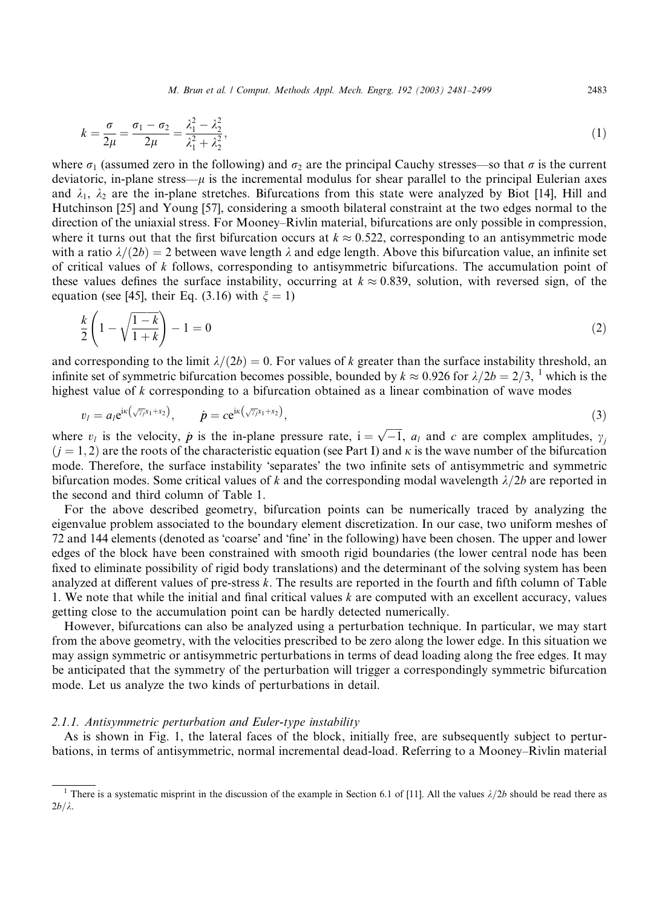M. Brun et al. / Comput. Methods Appl. Mech. Engrg. 192 (2003) 2481–2499 2483

$$
k = \frac{\sigma}{2\mu} = \frac{\sigma_1 - \sigma_2}{2\mu} = \frac{\lambda_1^2 - \lambda_2^2}{\lambda_1^2 + \lambda_2^2},\tag{1}
$$

where  $\sigma_1$  (assumed zero in the following) and  $\sigma_2$  are the principal Cauchy stresses—so that  $\sigma$  is the current deviatoric, in-plane stress— $\mu$  is the incremental modulus for shear parallel to the principal Eulerian axes and  $\lambda_1$ ,  $\lambda_2$  are the in-plane stretches. Bifurcations from this state were analyzed by Biot [14], Hill and Hutchinson [25] and Young [57], considering a smooth bilateral constraint at the two edges normal to the direction of the uniaxial stress. For Mooney–Rivlin material, bifurcations are only possible in compression, where it turns out that the first bifurcation occurs at  $k \approx 0.522$ , corresponding to an antisymmetric mode with a ratio  $\lambda/(2b) = 2$  between wave length  $\lambda$  and edge length. Above this bifurcation value, an infinite set of critical values of  $k$  follows, corresponding to antisymmetric bifurcations. The accumulation point of these values defines the surface instability, occurring at  $k \approx 0.839$ , solution, with reversed sign, of the equation (see [45], their Eq. (3.16) with  $\xi = 1$ )

$$
\frac{k}{2}\left(1-\sqrt{\frac{1-k}{1+k}}\right)-1=0\tag{2}
$$

and corresponding to the limit  $\lambda/(2b) = 0$ . For values of k greater than the surface instability threshold, an infinite set of symmetric bifurcation becomes possible, bounded by  $k \approx 0.926$  for  $\lambda/2b = 2/3$ , <sup>1</sup> which is the highest value of k corresponding to a bifurcation obtained as a linear combination of wave modes

$$
v_l = a_l e^{i\kappa(\sqrt{\gamma_j}x_1 + x_2)}, \qquad \dot{p} = c e^{i\kappa(\sqrt{\gamma_j}x_1 + x_2)}, \qquad (3)
$$

where  $v_i$  is the velocity,  $\dot{p}$  is the in-plane pressure rate,  $i = \sqrt{-1}$ ,  $a_i$  and c are complex amplitudes,  $\gamma_i$  $(j = 1, 2)$  are the roots of the characteristic equation (see Part I) and  $\kappa$  is the wave number of the bifurcation mode. Therefore, the surface instability 'separates' the two infinite sets of antisymmetric and symmetric bifurcation modes. Some critical values of k and the corresponding modal wavelength  $\lambda/2b$  are reported in the second and third column of Table 1.

For the above described geometry, bifurcation points can be numerically traced by analyzing the eigenvalue problem associated to the boundary element discretization. In our case, two uniform meshes of 72 and 144 elements (denoted as 'coarse' and 'fine' in the following) have been chosen. The upper and lower edges of the block have been constrained with smooth rigid boundaries (the lower central node has been fixed to eliminate possibility of rigid body translations) and the determinant of the solving system has been analyzed at different values of pre-stress k. The results are reported in the fourth and fifth column of Table 1. We note that while the initial and final critical values k are computed with an excellent accuracy, values getting close to the accumulation point can be hardly detected numerically.

However, bifurcations can also be analyzed using a perturbation technique. In particular, we may start from the above geometry, with the velocities prescribed to be zero along the lower edge. In this situation we may assign symmetric or antisymmetric perturbations in terms of dead loading along the free edges. It may be anticipated that the symmetry of the perturbation will trigger a correspondingly symmetric bifurcation mode. Let us analyze the two kinds of perturbations in detail.

## 2.1.1. Antisymmetric perturbation and Euler-type instability

As is shown in Fig. 1, the lateral faces of the block, initially free, are subsequently subject to perturbations, in terms of antisymmetric, normal incremental dead-load. Referring to a Mooney–Rivlin material

<sup>&</sup>lt;sup>1</sup> There is a systematic misprint in the discussion of the example in Section 6.1 of [11]. All the values  $\lambda/2b$  should be read there as  $2b/\lambda$ .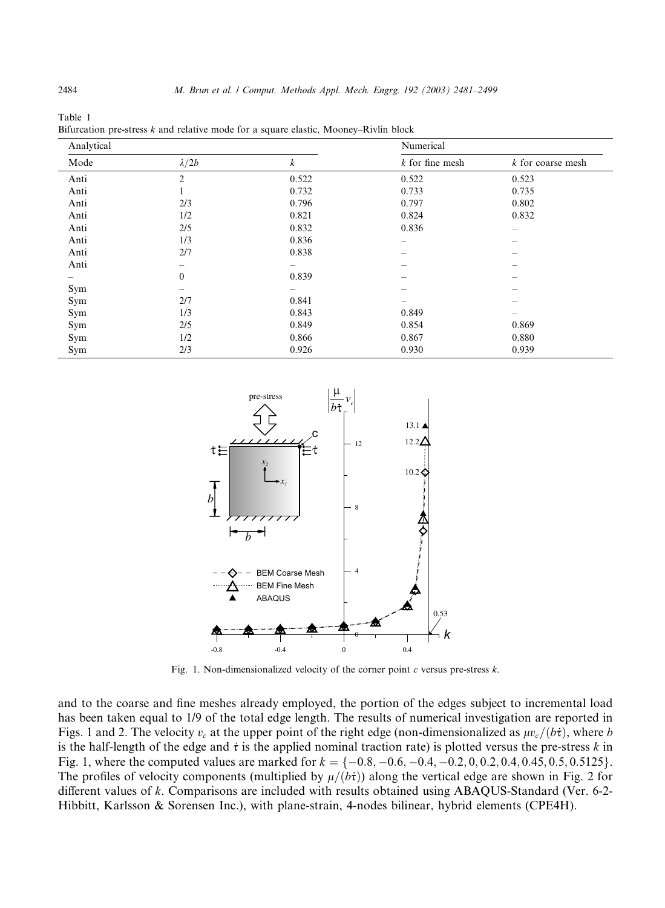| Analytical |                  |       | Numerical                             |                                       |  |
|------------|------------------|-------|---------------------------------------|---------------------------------------|--|
| Mode       | $\lambda/2b$     | k     | $k$ for fine mesh                     | k for coarse mesh                     |  |
| Anti       | $\overline{2}$   | 0.522 | 0.522                                 | 0.523                                 |  |
| Anti       |                  | 0.732 | 0.733                                 | 0.735                                 |  |
| Anti       | 2/3              | 0.796 | 0.797                                 | 0.802                                 |  |
| Anti       | 1/2              | 0.821 | 0.824                                 | 0.832                                 |  |
| Anti       | 2/5              | 0.832 | 0.836                                 | $\qquad \qquad -$                     |  |
| Anti       | 1/3              | 0.836 | $\hspace{1.0cm} \rule{1.5cm}{0.15cm}$ | $\hspace{1.0cm} \rule{1.5cm}{0.15cm}$ |  |
| Anti       | 2/7              | 0.838 | -                                     |                                       |  |
| Anti       | $\qquad \qquad$  |       | -                                     |                                       |  |
|            | $\boldsymbol{0}$ | 0.839 | -                                     |                                       |  |
| Sym        | $\qquad \qquad$  |       | -                                     | $\sim$                                |  |
| Sym        | 2/7              | 0.841 | -                                     | $\overline{\phantom{0}}$              |  |
| Sym        | 1/3              | 0.843 | 0.849                                 |                                       |  |
| Sym        | 2/5              | 0.849 | 0.854                                 | 0.869                                 |  |
| Sym        | 1/2              | 0.866 | 0.867                                 | 0.880                                 |  |
| Sym        | 2/3              | 0.926 | 0.930                                 | 0.939                                 |  |

Table 1 Bifurcation pre-stress  $k$  and relative mode for a square elastic, Mooney–Rivlin block



Fig. 1. Non-dimensionalized velocity of the corner point  $c$  versus pre-stress  $k$ .

and to the coarse and fine meshes already employed, the portion of the edges subject to incremental load has been taken equal to 1/9 of the total edge length. The results of numerical investigation are reported in Figs. 1 and 2. The velocity  $v_c$  at the upper point of the right edge (non-dimensionalized as  $\mu v_c/(b\dot{\tau})$ , where b is the half-length of the edge and  $\dot{\tau}$  is the applied nominal traction rate) is plotted versus the pre-stress k in Fig. 1, where the computed values are marked for  $k = \{-0.8, -0.6, -0.4, -0.2, 0, 0.2, 0.4, 0.45, 0.5, 0.5125\}$ . The profiles of velocity components (multiplied by  $\mu/(\overrightarrow{bt})$ ) along the vertical edge are shown in Fig. 2 for different values of k. Comparisons are included with results obtained using ABAQUS-Standard (Ver. 6-2- Hibbitt, Karlsson & Sorensen Inc.), with plane-strain, 4-nodes bilinear, hybrid elements (CPE4H).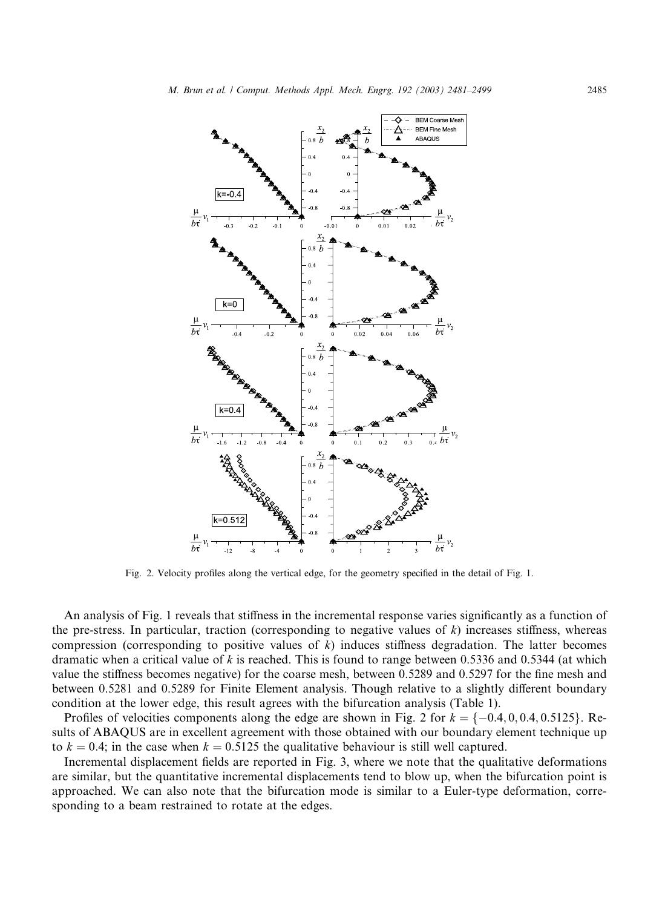

Fig. 2. Velocity profiles along the vertical edge, for the geometry specified in the detail of Fig. 1.

An analysis of Fig. 1 reveals that stiffness in the incremental response varies significantly as a function of the pre-stress. In particular, traction (corresponding to negative values of  $k$ ) increases stiffness, whereas compression (corresponding to positive values of  $k$ ) induces stiffness degradation. The latter becomes dramatic when a critical value of k is reached. This is found to range between 0.5336 and 0.5344 (at which value the stiffness becomes negative) for the coarse mesh, between 0.5289 and 0.5297 for the fine mesh and between 0.5281 and 0.5289 for Finite Element analysis. Though relative to a slightly different boundary condition at the lower edge, this result agrees with the bifurcation analysis (Table 1).

Profiles of velocities components along the edge are shown in Fig. 2 for  $k = \{-0.4, 0, 0.4, 0.5125\}$ . Results of ABAQUS are in excellent agreement with those obtained with our boundary element technique up to  $k = 0.4$ ; in the case when  $k = 0.5125$  the qualitative behaviour is still well captured.

Incremental displacement fields are reported in Fig. 3, where we note that the qualitative deformations are similar, but the quantitative incremental displacements tend to blow up, when the bifurcation point is approached. We can also note that the bifurcation mode is similar to a Euler-type deformation, corresponding to a beam restrained to rotate at the edges.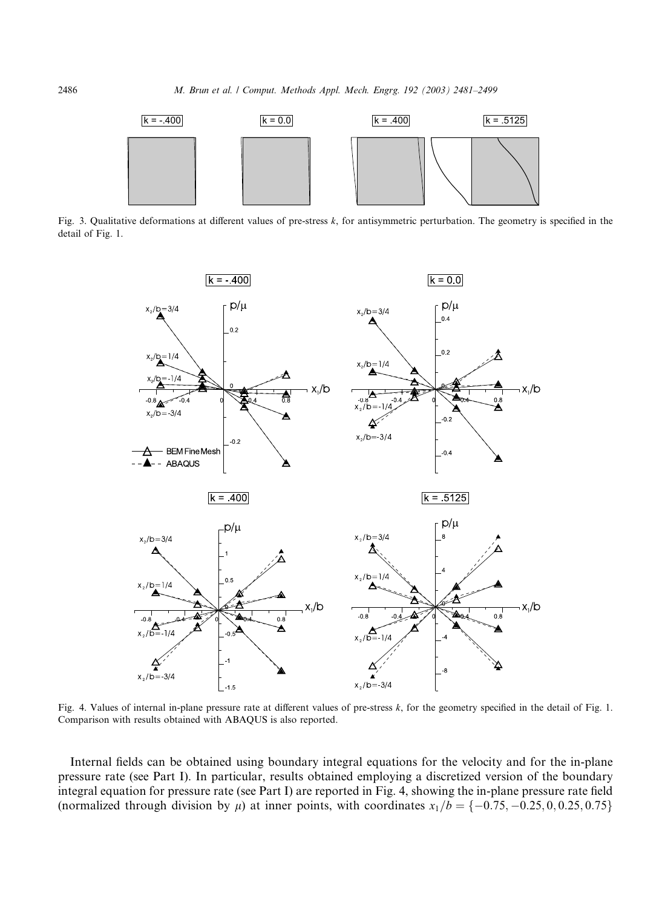

Fig. 3. Qualitative deformations at different values of pre-stress k, for antisymmetric perturbation. The geometry is specified in the detail of Fig. 1.



Fig. 4. Values of internal in-plane pressure rate at different values of pre-stress k, for the geometry specified in the detail of Fig. 1. Comparison with results obtained with ABAQUS is also reported.

Internal fields can be obtained using boundary integral equations for the velocity and for the in-plane pressure rate (see Part I). In particular, results obtained employing a discretized version of the boundary integral equation for pressure rate (see Part I) are reported in Fig. 4, showing the in-plane pressure rate field (normalized through division by  $\mu$ ) at inner points, with coordinates  $x_1/b = \{-0.75, -0.25, 0, 0.25, 0.75\}$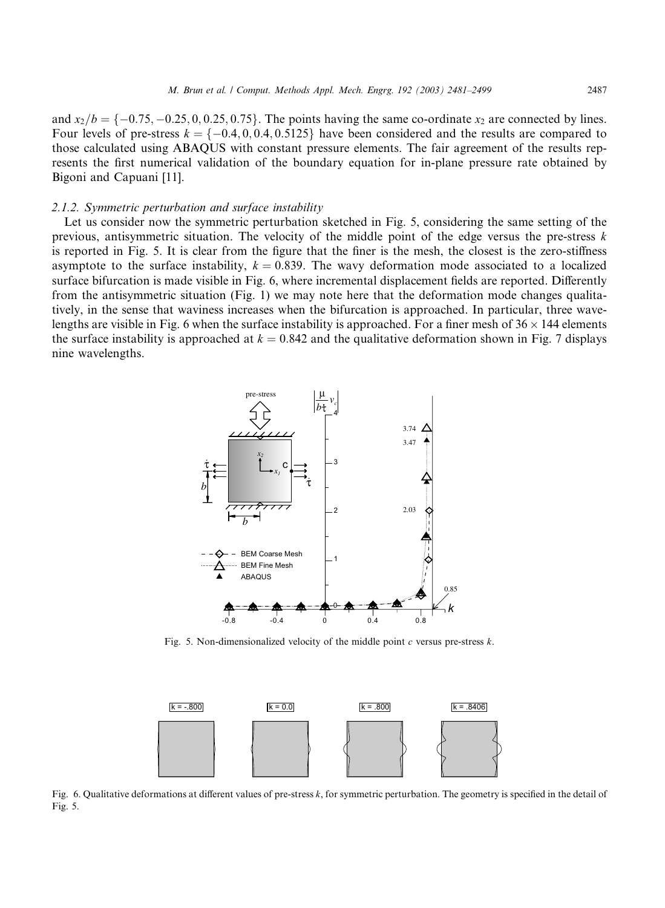and  $x_2/b = \{-0.75, -0.25, 0, 0.25, 0.75\}$ . The points having the same co-ordinate  $x_2$  are connected by lines. Four levels of pre-stress  $k = \{-0.4, 0.04, 0.5125\}$  have been considered and the results are compared to those calculated using ABAQUS with constant pressure elements. The fair agreement of the results represents the first numerical validation of the boundary equation for in-plane pressure rate obtained by Bigoni and Capuani [11].

#### 2.1.2. Symmetric perturbation and surface instability

Let us consider now the symmetric perturbation sketched in Fig. 5, considering the same setting of the previous, antisymmetric situation. The velocity of the middle point of the edge versus the pre-stress  $k$ is reported in Fig. 5. It is clear from the figure that the finer is the mesh, the closest is the zero-stiffness asymptote to the surface instability,  $k = 0.839$ . The wavy deformation mode associated to a localized surface bifurcation is made visible in Fig. 6, where incremental displacement fields are reported. Differently from the antisymmetric situation (Fig. 1) we may note here that the deformation mode changes qualitatively, in the sense that waviness increases when the bifurcation is approached. In particular, three wavelengths are visible in Fig. 6 when the surface instability is approached. For a finer mesh of  $36 \times 144$  elements the surface instability is approached at  $k = 0.842$  and the qualitative deformation shown in Fig. 7 displays nine wavelengths.



Fig. 5. Non-dimensionalized velocity of the middle point  $c$  versus pre-stress  $k$ .



Fig. 6. Qualitative deformations at different values of pre-stress k, for symmetric perturbation. The geometry is specified in the detail of Fig. 5.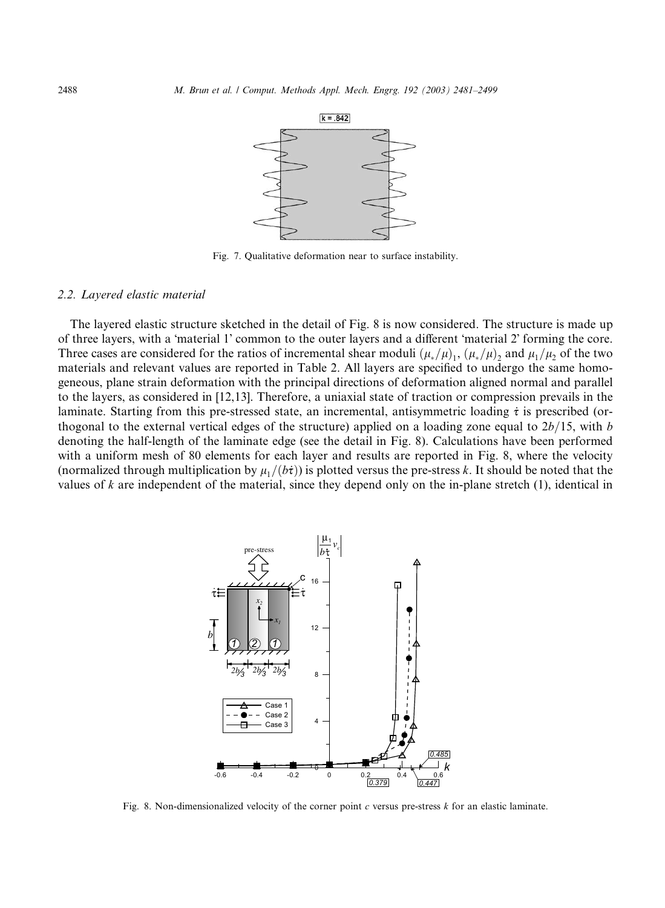

Fig. 7. Qualitative deformation near to surface instability.

## 2.2. Layered elastic material

The layered elastic structure sketched in the detail of Fig. 8 is now considered. The structure is made up of three layers, with a 'material 1' common to the outer layers and a different 'material 2' forming the core. Three cases are considered for the ratios of incremental shear moduli  $(\mu_*/\mu)$ ,  $(\mu_*/\mu)$ , and  $\mu_1/\mu_2$  of the two materials and relevant values are reported in Table 2. All layers are specified to undergo the same homogeneous, plane strain deformation with the principal directions of deformation aligned normal and parallel to the layers, as considered in [12,13]. Therefore, a uniaxial state of traction or compression prevails in the laminate. Starting from this pre-stressed state, an incremental, antisymmetric loading  $\dot{\tau}$  is prescribed (orthogonal to the external vertical edges of the structure) applied on a loading zone equal to  $2b/15$ , with b denoting the half-length of the laminate edge (see the detail in Fig. 8). Calculations have been performed with a uniform mesh of 80 elements for each layer and results are reported in Fig. 8, where the velocity (normalized through multiplication by  $\mu_1/(\delta t)$ ) is plotted versus the pre-stress k. It should be noted that the values of  $k$  are independent of the material, since they depend only on the in-plane stretch  $(1)$ , identical in



Fig. 8. Non-dimensionalized velocity of the corner point  $c$  versus pre-stress  $k$  for an elastic laminate.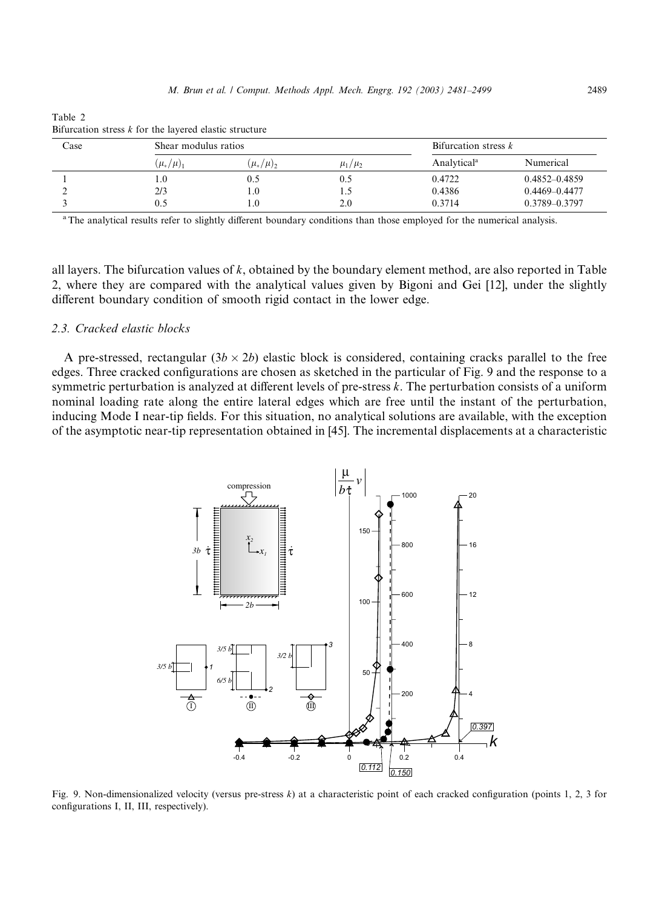| Case |                 | Shear modulus ratios       |               |                         | Bifurcation stress $k$ |  |
|------|-----------------|----------------------------|---------------|-------------------------|------------------------|--|
|      | $(\mu_*/\mu)_1$ | $(\mu_*/\mu)$ <sub>2</sub> | $\mu_1/\mu_2$ | Analytical <sup>a</sup> | Numerical              |  |
|      | .0              | 0.5                        |               | 0.4722                  | $0.4852 - 0.4859$      |  |
|      | 2/3             |                            | ن . 1         | 0.4386                  | $0.4469 - 0.4477$      |  |
|      | 0.5             |                            | 2.0           | 0.3714                  | 0.3789-0.3797          |  |

Table 2 Bifurcation stress  $k$  for the layered elastic structure

<sup>a</sup>The analytical results refer to slightly different boundary conditions than those employed for the numerical analysis.

all layers. The bifurcation values of  $k$ , obtained by the boundary element method, are also reported in Table 2, where they are compared with the analytical values given by Bigoni and Gei [12], under the slightly different boundary condition of smooth rigid contact in the lower edge.

# 2.3. Cracked elastic blocks

A pre-stressed, rectangular  $(3b \times 2b)$  elastic block is considered, containing cracks parallel to the free edges. Three cracked configurations are chosen as sketched in the particular of Fig. 9 and the response to a symmetric perturbation is analyzed at different levels of pre-stress k. The perturbation consists of a uniform nominal loading rate along the entire lateral edges which are free until the instant of the perturbation, inducing Mode I near-tipfields. For this situation, no analytical solutions are available, with the exception of the asymptotic near-tip representation obtained in [45]. The incremental displacements at a characteristic



Fig. 9. Non-dimensionalized velocity (versus pre-stress k) at a characteristic point of each cracked configuration (points 1, 2, 3 for configurations I, II, III, respectively).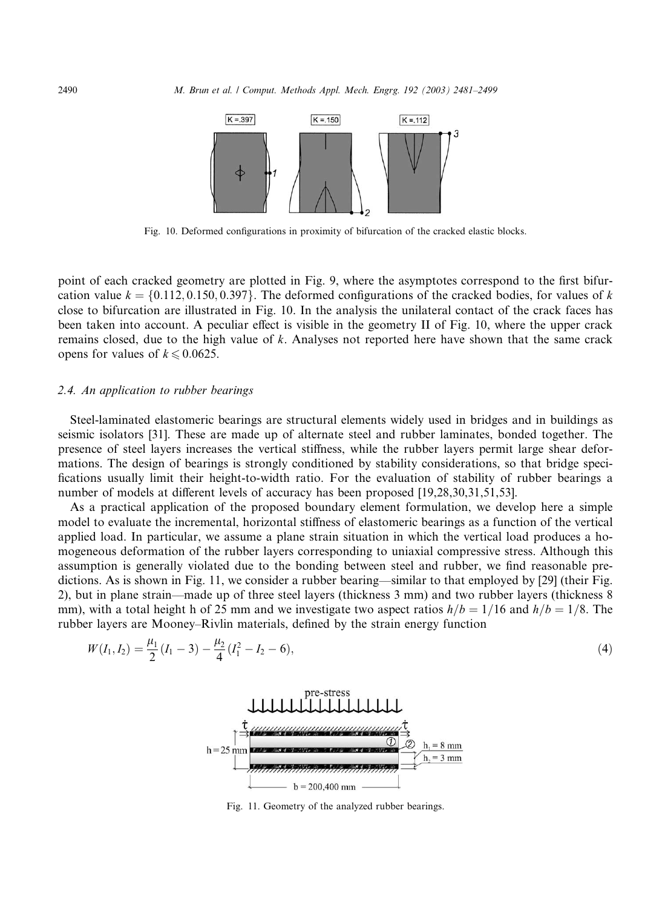

Fig. 10. Deformed configurations in proximity of bifurcation of the cracked elastic blocks.

point of each cracked geometry are plotted in Fig. 9, where the asymptotes correspond to the first bifurcation value  $k = \{0.112, 0.150, 0.397\}$ . The deformed configurations of the cracked bodies, for values of k close to bifurcation are illustrated in Fig. 10. In the analysis the unilateral contact of the crack faces has been taken into account. A peculiar effect is visible in the geometry II of Fig. 10, where the upper crack remains closed, due to the high value of k. Analyses not reported here have shown that the same crack opens for values of  $k \le 0.0625$ .

#### 2.4. An application to rubber bearings

Steel-laminated elastomeric bearings are structural elements widely used in bridges and in buildings as seismic isolators [31]. These are made up of alternate steel and rubber laminates, bonded together. The presence of steel layers increases the vertical stiffness, while the rubber layers permit large shear deformations. The design of bearings is strongly conditioned by stability considerations, so that bridge specifications usually limit their height-to-width ratio. For the evaluation of stability of rubber bearings a number of models at different levels of accuracy has been proposed [19,28,30,31,51,53].

As a practical application of the proposed boundary element formulation, we develop here a simple model to evaluate the incremental, horizontal stiffness of elastomeric bearings as a function of the vertical applied load. In particular, we assume a plane strain situation in which the vertical load produces a homogeneous deformation of the rubber layers corresponding to uniaxial compressive stress. Although this assumption is generally violated due to the bonding between steel and rubber, we find reasonable predictions. As is shown in Fig. 11, we consider a rubber bearing––similar to that employed by [29] (their Fig. 2), but in plane strain––made up of three steel layers (thickness 3 mm) and two rubber layers (thickness 8 mm), with a total height h of 25 mm and we investigate two aspect ratios  $h/b = 1/16$  and  $h/b = 1/8$ . The rubber layers are Mooney–Rivlin materials, defined by the strain energy function

$$
W(I_1, I_2) = \frac{\mu_1}{2} (I_1 - 3) - \frac{\mu_2}{4} (I_1^2 - I_2 - 6),
$$
\n(4)



Fig. 11. Geometry of the analyzed rubber bearings.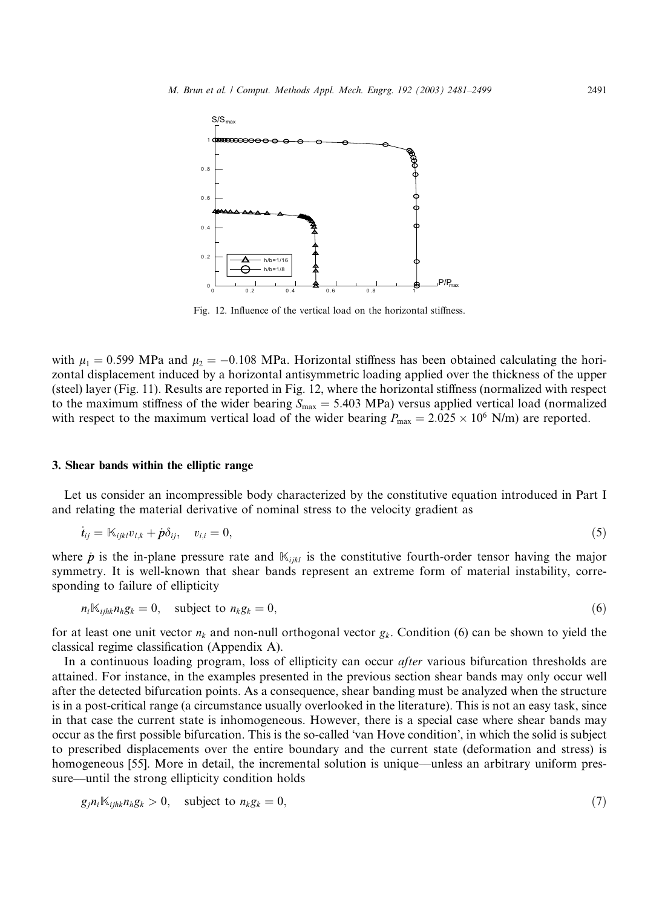

Fig. 12. Influence of the vertical load on the horizontal stiffness.

with  $\mu_1 = 0.599$  MPa and  $\mu_2 = -0.108$  MPa. Horizontal stiffness has been obtained calculating the horizontal displacement induced by a horizontal antisymmetric loading applied over the thickness of the upper (steel) layer (Fig. 11). Results are reported in Fig. 12, where the horizontal stiffness (normalized with respect to the maximum stiffness of the wider bearing  $S_{\text{max}} = 5.403 \text{ MPa}$ ) versus applied vertical load (normalized with respect to the maximum vertical load of the wider bearing  $P_{\text{max}} = 2.025 \times 10^6$  N/m) are reported.

## 3. Shear bands within the elliptic range

Let us consider an incompressible body characterized by the constitutive equation introduced in Part I and relating the material derivative of nominal stress to the velocity gradient as

$$
\dot{\boldsymbol{t}}_{ij} = \mathbb{K}_{ijkl} v_{l,k} + \dot{\boldsymbol{p}} \delta_{ij}, \quad v_{i,i} = 0,
$$
\n<sup>(5)</sup>

where  $\dot{p}$  is the in-plane pressure rate and  $\mathbb{K}_{ijkl}$  is the constitutive fourth-order tensor having the major symmetry. It is well-known that shear bands represent an extreme form of material instability, corresponding to failure of ellipticity

$$
n_i \mathbb{K}_{ijk} n_h g_k = 0, \quad \text{subject to } n_k g_k = 0,
$$
\n<sup>(6)</sup>

for at least one unit vector  $n_k$  and non-null orthogonal vector  $g_k$ . Condition (6) can be shown to yield the classical regime classification (Appendix A).

In a continuous loading program, loss of ellipticity can occur *after* various bifurcation thresholds are attained. For instance, in the examples presented in the previous section shear bands may only occur well after the detected bifurcation points. As a consequence, shear banding must be analyzed when the structure is in a post-critical range (a circumstance usually overlooked in the literature). This is not an easy task, since in that case the current state is inhomogeneous. However, there is a special case where shear bands may occur as the first possible bifurcation. This is the so-called 'van Hove condition', in which the solid is subject to prescribed displacements over the entire boundary and the current state (deformation and stress) is homogeneous [55]. More in detail, the incremental solution is unique—unless an arbitrary uniform pressure––until the strong ellipticity condition holds

$$
g_j n_i \mathbb{K}_{ijk} n_h g_k > 0, \quad \text{subject to } n_k g_k = 0,
$$
\n
$$
(7)
$$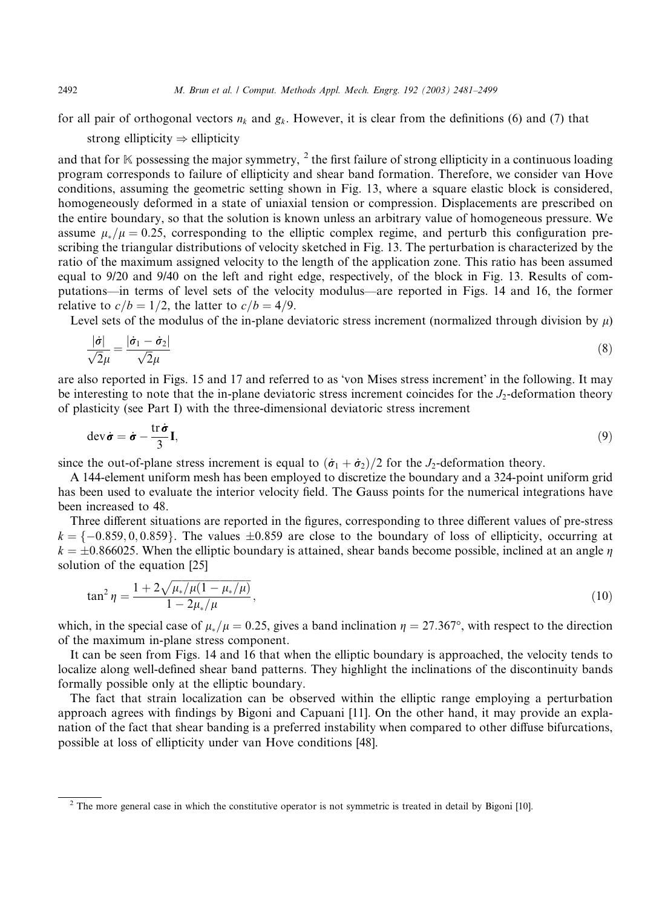for all pair of orthogonal vectors  $n_k$  and  $g_k$ . However, it is clear from the definitions (6) and (7) that

strong ellipticity  $\Rightarrow$  ellipticity

and that for  $\mathbb K$  possessing the major symmetry, <sup>2</sup> the first failure of strong ellipticity in a continuous loading program corresponds to failure of ellipticity and shear band formation. Therefore, we consider van Hove conditions, assuming the geometric setting shown in Fig. 13, where a square elastic block is considered, homogeneously deformed in a state of uniaxial tension or compression. Displacements are prescribed on the entire boundary, so that the solution is known unless an arbitrary value of homogeneous pressure. We assume  $\mu_*/\mu = 0.25$ , corresponding to the elliptic complex regime, and perturb this configuration prescribing the triangular distributions of velocity sketched in Fig. 13. The perturbation is characterized by the ratio of the maximum assigned velocity to the length of the application zone. This ratio has been assumed equal to 9/20 and 9/40 on the left and right edge, respectively, of the block in Fig. 13. Results of computations––in terms of level sets of the velocity modulus––are reported in Figs. 14 and 16, the former relative to  $c/b = 1/2$ , the latter to  $c/b = 4/9$ .

Level sets of the modulus of the in-plane deviatoric stress increment (normalized through division by  $\mu$ )

$$
\frac{|\dot{\sigma}|}{\sqrt{2}\mu} = \frac{|\dot{\sigma}_1 - \dot{\sigma}_2|}{\sqrt{2}\mu} \tag{8}
$$

are also reported in Figs. 15 and 17 and referred to as 'von Mises stress increment' in the following. It may be interesting to note that the in-plane deviatoric stress increment coincides for the  $J_2$ -deformation theory of plasticity (see Part I) with the three-dimensional deviatoric stress increment

$$
\operatorname{dev}\dot{\boldsymbol{\sigma}} = \dot{\boldsymbol{\sigma}} - \frac{\operatorname{tr}\dot{\boldsymbol{\sigma}}}{3}\mathbf{I},\tag{9}
$$

since the out-of-plane stress increment is equal to  $(\dot{\sigma}_1 + \dot{\sigma}_2)/2$  for the J<sub>2</sub>-deformation theory.

A 144-element uniform mesh has been employed to discretize the boundary and a 324-point uniform grid has been used to evaluate the interior velocity field. The Gauss points for the numerical integrations have been increased to 48.

Three different situations are reported in the figures, corresponding to three different values of pre-stress  $k = \{-0.859, 0, 0.859\}$ . The values  $\pm 0.859$  are close to the boundary of loss of ellipticity, occurring at  $k = \pm 0.866025$ . When the elliptic boundary is attained, shear bands become possible, inclined at an angle  $\eta$ solution of the equation [25]

$$
\tan^2 \eta = \frac{1 + 2\sqrt{\mu_* / \mu (1 - \mu_* / \mu)}}{1 - 2\mu_* / \mu},
$$
\n(10)

which, in the special case of  $\mu_*/\mu = 0.25$ , gives a band inclination  $\eta = 27.367^{\circ}$ , with respect to the direction of the maximum in-plane stress component.

It can be seen from Figs. 14 and 16 that when the elliptic boundary is approached, the velocity tends to localize along well-defined shear band patterns. They highlight the inclinations of the discontinuity bands formally possible only at the elliptic boundary.

The fact that strain localization can be observed within the elliptic range employing a perturbation approach agrees with findings by Bigoni and Capuani [11]. On the other hand, it may provide an explanation of the fact that shear banding is a preferred instability when compared to other diffuse bifurcations, possible at loss of ellipticity under van Hove conditions [48].

<sup>&</sup>lt;sup>2</sup> The more general case in which the constitutive operator is not symmetric is treated in detail by Bigoni [10].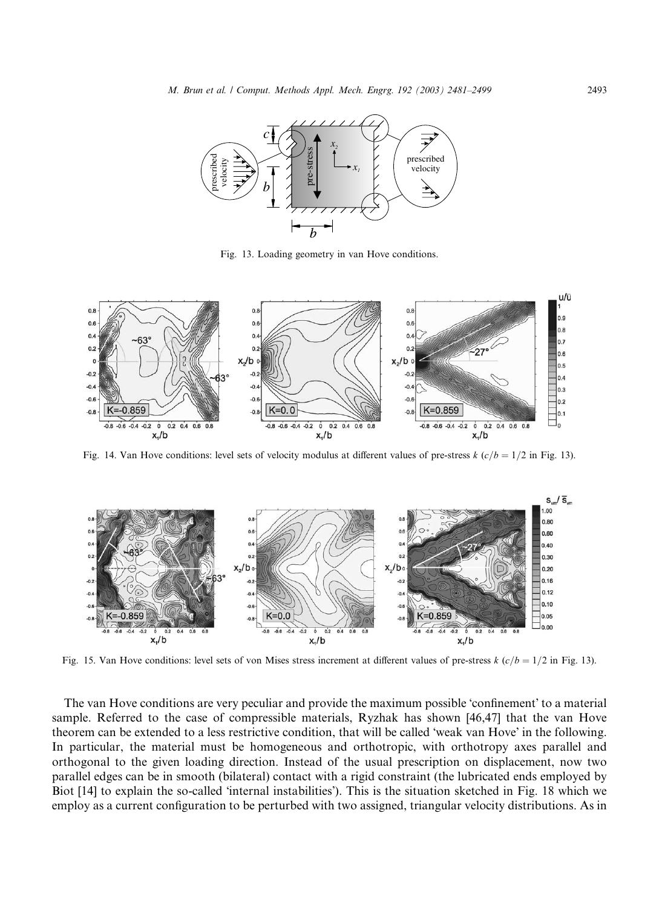

Fig. 13. Loading geometry in van Hove conditions.



Fig. 14. Van Hove conditions: level sets of velocity modulus at different values of pre-stress k  $(c/b = 1/2$  in Fig. 13).



Fig. 15. Van Hove conditions: level sets of von Mises stress increment at different values of pre-stress k  $(c/b = 1/2$  in Fig. 13).

The van Hove conditions are very peculiar and provide the maximum possible 'confinement' to a material sample. Referred to the case of compressible materials, Ryzhak has shown [46,47] that the van Hove theorem can be extended to a less restrictive condition, that will be called 'weak van Hove' in the following. In particular, the material must be homogeneous and orthotropic, with orthotropy axes parallel and orthogonal to the given loading direction. Instead of the usual prescription on displacement, now two parallel edges can be in smooth (bilateral) contact with a rigid constraint (the lubricated ends employed by Biot [14] to explain the so-called 'internal instabilities'). This is the situation sketched in Fig. 18 which we employ as a current configuration to be perturbed with two assigned, triangular velocity distributions. As in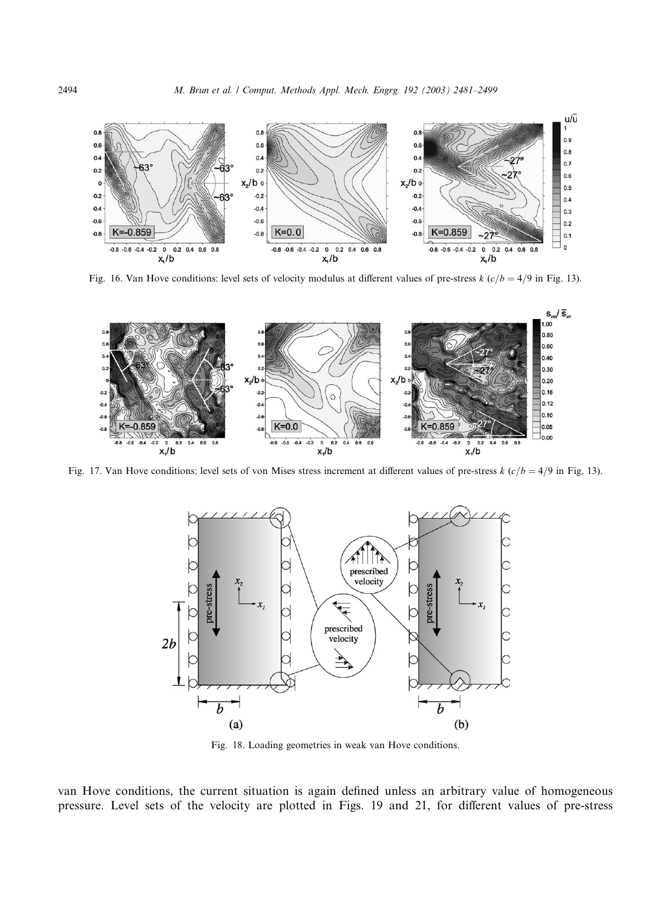

Fig. 16. Van Hove conditions: level sets of velocity modulus at different values of pre-stress k  $(c/b = 4/9$  in Fig. 13).



Fig. 17. Van Hove conditions: level sets of von Mises stress increment at different values of pre-stress k  $(c/b = 4/9$  in Fig. 13).



Fig. 18. Loading geometries in weak van Hove conditions.

van Hove conditions, the current situation is again defined unless an arbitrary value of homogeneous pressure. Level sets of the velocity are plotted in Figs. 19 and 21, for different values of pre-stress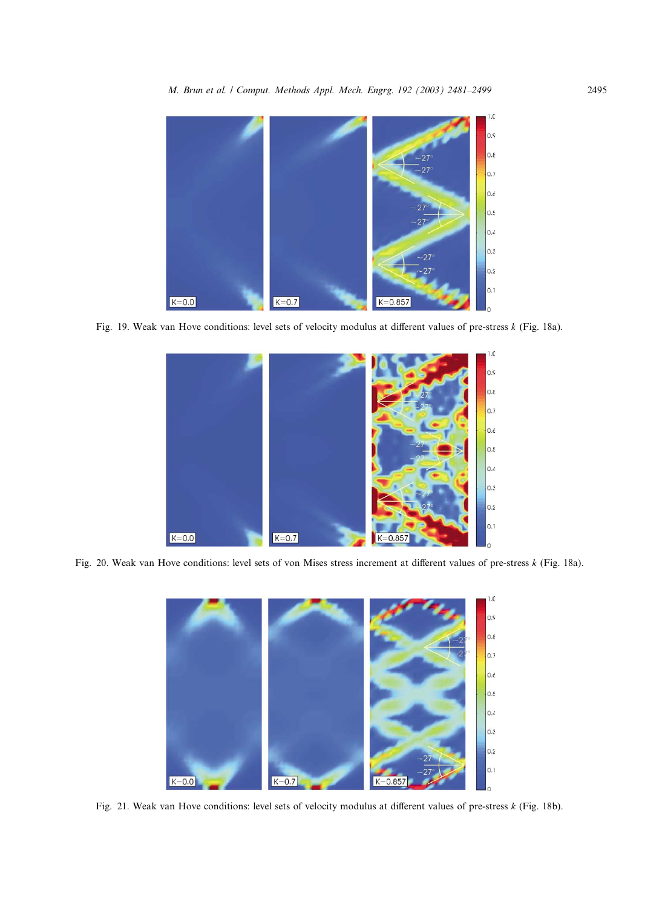

Fig. 19. Weak van Hove conditions: level sets of velocity modulus at different values of pre-stress k (Fig. 18a).



Fig. 20. Weak van Hove conditions: level sets of von Mises stress increment at different values of pre-stress k (Fig. 18a).



Fig. 21. Weak van Hove conditions: level sets of velocity modulus at different values of pre-stress k (Fig. 18b).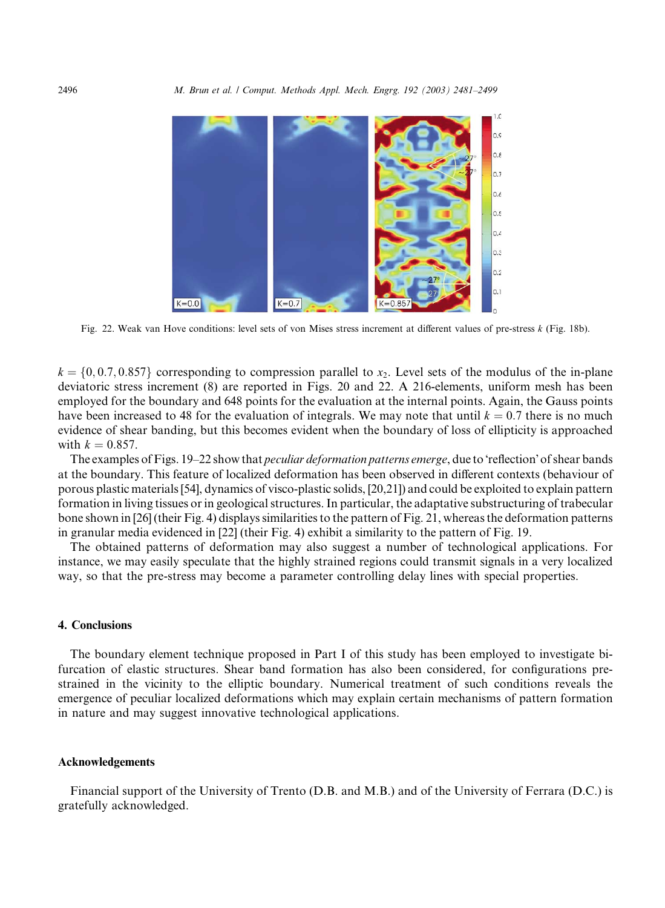

Fig. 22. Weak van Hove conditions: level sets of von Mises stress increment at different values of pre-stress k (Fig. 18b).

 $k = \{0, 0.7, 0.857\}$  corresponding to compression parallel to x<sub>2</sub>. Level sets of the modulus of the in-plane deviatoric stress increment (8) are reported in Figs. 20 and 22. A 216-elements, uniform mesh has been employed for the boundary and 648 points for the evaluation at the internal points. Again, the Gauss points have been increased to 48 for the evaluation of integrals. We may note that until  $k = 0.7$  there is no much evidence of shear banding, but this becomes evident when the boundary of loss of ellipticity is approached with  $k = 0.857$ .

The examples of Figs. 19–22 show that *peculiar deformation patterns emerge*, due to 'reflection' of shear bands at the boundary. This feature of localized deformation has been observed in different contexts (behaviour of porous plastic materials [54], dynamics of visco-plastic solids, [20,21]) and could be exploited to explain pattern formation in living tissues or in geological structures. In particular, the adaptative substructuring of trabecular bone shown in [26] (their Fig. 4) displays similarities to the pattern of Fig. 21, whereas the deformation patterns in granular media evidenced in [22] (their Fig. 4) exhibit a similarity to the pattern of Fig. 19.

The obtained patterns of deformation may also suggest a number of technological applications. For instance, we may easily speculate that the highly strained regions could transmit signals in a very localized way, so that the pre-stress may become a parameter controlling delay lines with special properties.

## 4. Conclusions

The boundary element technique proposed in Part I of this study has been employed to investigate bifurcation of elastic structures. Shear band formation has also been considered, for configurations prestrained in the vicinity to the elliptic boundary. Numerical treatment of such conditions reveals the emergence of peculiar localized deformations which may explain certain mechanisms of pattern formation in nature and may suggest innovative technological applications.

## Acknowledgements

Financial support of the University of Trento (D.B. and M.B.) and of the University of Ferrara (D.C.) is gratefully acknowledged.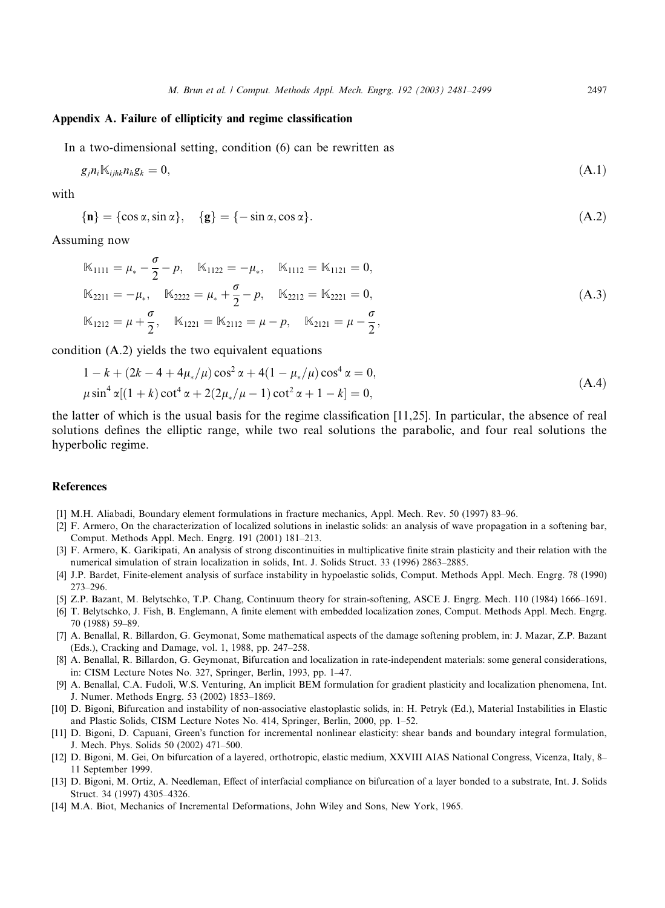# Appendix A. Failure of ellipticity and regime classification

In a two-dimensional setting, condition (6) can be rewritten as

$$
g_j n_i \mathbb{K}_{j j h k} n_h g_k = 0, \tag{A.1}
$$

with

$$
\{\mathbf{n}\} = \{\cos \alpha, \sin \alpha\}, \quad \{\mathbf{g}\} = \{-\sin \alpha, \cos \alpha\}.\tag{A.2}
$$

Assuming now

$$
\mathbb{K}_{1111} = \mu_{*} - \frac{\sigma}{2} - p, \quad \mathbb{K}_{1122} = -\mu_{*}, \quad \mathbb{K}_{1112} = \mathbb{K}_{1121} = 0,
$$
\n
$$
\mathbb{K}_{2211} = -\mu_{*}, \quad \mathbb{K}_{2222} = \mu_{*} + \frac{\sigma}{2} - p, \quad \mathbb{K}_{2212} = \mathbb{K}_{2221} = 0,
$$
\n
$$
\mathbb{K}_{1212} = \mu + \frac{\sigma}{2}, \quad \mathbb{K}_{1221} = \mathbb{K}_{2112} = \mu - p, \quad \mathbb{K}_{2121} = \mu - \frac{\sigma}{2},
$$
\n(A.3)

condition (A.2) yields the two equivalent equations

$$
1 - k + (2k - 4 + 4\mu_*/\mu)\cos^2\alpha + 4(1 - \mu_*/\mu)\cos^4\alpha = 0,
$$
  
\n
$$
\mu\sin^4\alpha[(1 + k)\cot^4\alpha + 2(2\mu_*/\mu - 1)\cot^2\alpha + 1 - k] = 0,
$$
\n(A.4)

the latter of which is the usual basis for the regime classification [11,25]. In particular, the absence of real solutions defines the elliptic range, while two real solutions the parabolic, and four real solutions the hyperbolic regime.

## References

- [1] M.H. Aliabadi, Boundary element formulations in fracture mechanics, Appl. Mech. Rev. 50 (1997) 83–96.
- [2] F. Armero, On the characterization of localized solutions in inelastic solids: an analysis of wave propagation in a softening bar, Comput. Methods Appl. Mech. Engrg. 191 (2001) 181–213.
- [3] F. Armero, K. Garikipati, An analysis of strong discontinuities in multiplicative finite strain plasticity and their relation with the numerical simulation of strain localization in solids, Int. J. Solids Struct. 33 (1996) 2863–2885.
- [4] J.P. Bardet, Finite-element analysis of surface instability in hypoelastic solids, Comput. Methods Appl. Mech. Engrg. 78 (1990) 273–296.
- [5] Z.P. Bazant, M. Belytschko, T.P. Chang, Continuum theory for strain-softening, ASCE J. Engrg. Mech. 110 (1984) 1666–1691.
- [6] T. Belytschko, J. Fish, B. Englemann, A finite element with embedded localization zones, Comput. Methods Appl. Mech. Engrg. 70 (1988) 59–89.
- [7] A. Benallal, R. Billardon, G. Geymonat, Some mathematical aspects of the damage softening problem, in: J. Mazar, Z.P. Bazant (Eds.), Cracking and Damage, vol. 1, 1988, pp. 247–258.
- [8] A. Benallal, R. Billardon, G. Geymonat, Bifurcation and localization in rate-independent materials: some general considerations, in: CISM Lecture Notes No. 327, Springer, Berlin, 1993, pp. 1–47.
- [9] A. Benallal, C.A. Fudoli, W.S. Venturing, An implicit BEM formulation for gradient plasticity and localization phenomena, Int. J. Numer. Methods Engrg. 53 (2002) 1853–1869.
- [10] D. Bigoni, Bifurcation and instability of non-associative elastoplastic solids, in: H. Petryk (Ed.), Material Instabilities in Elastic and Plastic Solids, CISM Lecture Notes No. 414, Springer, Berlin, 2000, pp. 1–52.
- [11] D. Bigoni, D. Capuani, Green's function for incremental nonlinear elasticity: shear bands and boundary integral formulation, J. Mech. Phys. Solids 50 (2002) 471–500.
- [12] D. Bigoni, M. Gei, On bifurcation of a layered, orthotropic, elastic medium, XXVIII AIAS National Congress, Vicenza, Italy, 8– 11 September 1999.
- [13] D. Bigoni, M. Ortiz, A. Needleman, Effect of interfacial compliance on bifurcation of a layer bonded to a substrate, Int. J. Solids Struct. 34 (1997) 4305–4326.
- [14] M.A. Biot, Mechanics of Incremental Deformations, John Wiley and Sons, New York, 1965.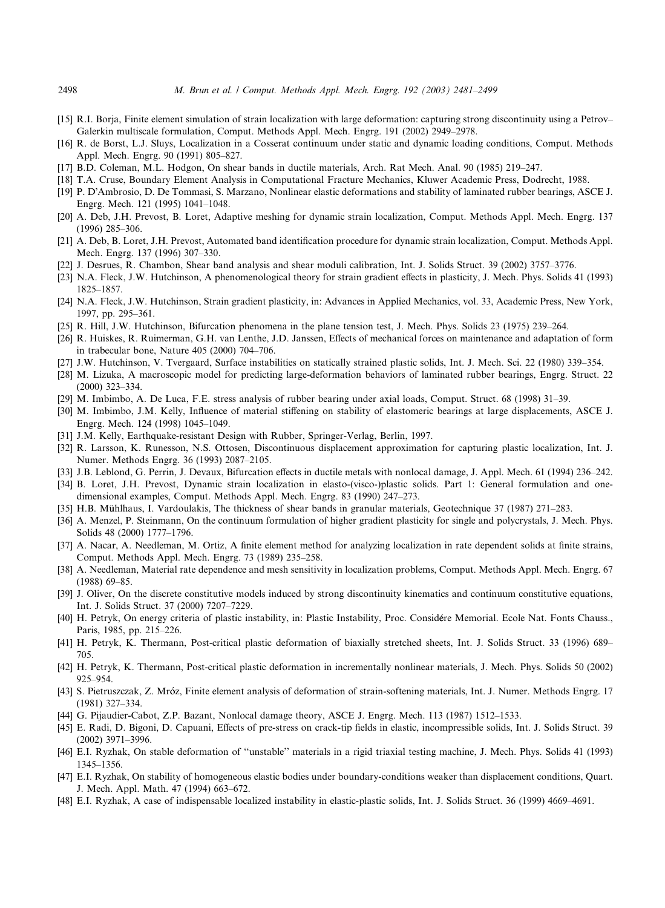- [15] R.I. Borja, Finite element simulation of strain localization with large deformation: capturing strong discontinuity using a Petrov– Galerkin multiscale formulation, Comput. Methods Appl. Mech. Engrg. 191 (2002) 2949–2978.
- [16] R. de Borst, L.J. Sluys, Localization in a Cosserat continuum under static and dynamic loading conditions, Comput. Methods Appl. Mech. Engrg. 90 (1991) 805–827.
- [17] B.D. Coleman, M.L. Hodgon, On shear bands in ductile materials, Arch. Rat Mech. Anal. 90 (1985) 219–247.
- [18] T.A. Cruse, Boundary Element Analysis in Computational Fracture Mechanics, Kluwer Academic Press, Dodrecht, 1988.
- [19] P. D-Ambrosio, D. De Tommasi, S. Marzano, Nonlinear elastic deformations and stability of laminated rubber bearings, ASCE J. Engrg. Mech. 121 (1995) 1041–1048.
- [20] A. Deb, J.H. Prevost, B. Loret, Adaptive meshing for dynamic strain localization, Comput. Methods Appl. Mech. Engrg. 137 (1996) 285–306.
- [21] A. Deb, B. Loret, J.H. Prevost, Automated band identification procedure for dynamic strain localization, Comput. Methods Appl. Mech. Engrg. 137 (1996) 307–330.
- [22] J. Desrues, R. Chambon, Shear band analysis and shear moduli calibration, Int. J. Solids Struct. 39 (2002) 3757–3776.
- [23] N.A. Fleck, J.W. Hutchinson, A phenomenological theory for strain gradient effects in plasticity, J. Mech. Phys. Solids 41 (1993) 1825–1857.
- [24] N.A. Fleck, J.W. Hutchinson, Strain gradient plasticity, in: Advances in Applied Mechanics, vol. 33, Academic Press, New York, 1997, pp. 295–361.
- [25] R. Hill, J.W. Hutchinson, Bifurcation phenomena in the plane tension test, J. Mech. Phys. Solids 23 (1975) 239–264.
- [26] R. Huiskes, R. Ruimerman, G.H. van Lenthe, J.D. Janssen, Effects of mechanical forces on maintenance and adaptation of form in trabecular bone, Nature 405 (2000) 704–706.
- [27] J.W. Hutchinson, V. Tvergaard, Surface instabilities on statically strained plastic solids, Int. J. Mech. Sci. 22 (1980) 339–354.
- [28] M. Lizuka, A macroscopic model for predicting large-deformation behaviors of laminated rubber bearings, Engrg. Struct. 22 (2000) 323–334.
- [29] M. Imbimbo, A. De Luca, F.E. stress analysis of rubber bearing under axial loads, Comput. Struct. 68 (1998) 31–39.
- [30] M. Imbimbo, J.M. Kelly, Influence of material stiffening on stability of elastomeric bearings at large displacements, ASCE J. Engrg. Mech. 124 (1998) 1045–1049.
- [31] J.M. Kelly, Earthquake-resistant Design with Rubber, Springer-Verlag, Berlin, 1997.
- [32] R. Larsson, K. Runesson, N.S. Ottosen, Discontinuous displacement approximation for capturing plastic localization, Int. J. Numer. Methods Engrg. 36 (1993) 2087–2105.
- [33] J.B. Leblond, G. Perrin, J. Devaux, Bifurcation effects in ductile metals with nonlocal damage, J. Appl. Mech. 61 (1994) 236–242.
- [34] B. Loret, J.H. Prevost, Dynamic strain localization in elasto-(visco-)plastic solids. Part 1: General formulation and onedimensional examples, Comput. Methods Appl. Mech. Engrg. 83 (1990) 247–273.
- [35] H.B. Mühlhaus, I. Vardoulakis, The thickness of shear bands in granular materials, Geotechnique 37 (1987) 271–283.
- [36] A. Menzel, P. Steinmann, On the continuum formulation of higher gradient plasticity for single and polycrystals, J. Mech. Phys. Solids 48 (2000) 1777–1796.
- [37] A. Nacar, A. Needleman, M. Ortiz, A finite element method for analyzing localization in rate dependent solids at finite strains, Comput. Methods Appl. Mech. Engrg. 73 (1989) 235–258.
- [38] A. Needleman, Material rate dependence and mesh sensitivity in localization problems, Comput. Methods Appl. Mech. Engrg. 67 (1988) 69–85.
- [39] J. Oliver, On the discrete constitutive models induced by strong discontinuity kinematics and continuum constitutive equations, Int. J. Solids Struct. 37 (2000) 7207–7229.
- [40] H. Petryk, On energy criteria of plastic instability, in: Plastic Instability, Proc. Considere Memorial. Ecole Nat. Fonts Chauss., Paris, 1985, pp. 215–226.
- [41] H. Petryk, K. Thermann, Post-critical plastic deformation of biaxially stretched sheets, Int. J. Solids Struct. 33 (1996) 689– 705.
- [42] H. Petryk, K. Thermann, Post-critical plastic deformation in incrementally nonlinear materials, J. Mech. Phys. Solids 50 (2002) 925–954.
- [43] S. Pietruszczak, Z. Mroz, Finite element analysis of deformation of strain-softening materials, Int. J. Numer. Methods Engrg. 17 (1981) 327–334.
- [44] G. Pijaudier-Cabot, Z.P. Bazant, Nonlocal damage theory, ASCE J. Engrg. Mech. 113 (1987) 1512–1533.
- [45] E. Radi, D. Bigoni, D. Capuani, Effects of pre-stress on crack-tip fields in elastic, incompressible solids, Int. J. Solids Struct. 39 (2002) 3971–3996.
- [46] E.I. Ryzhak, On stable deformation of ''unstable'' materials in a rigid triaxial testing machine, J. Mech. Phys. Solids 41 (1993) 1345–1356.
- [47] E.I. Ryzhak, On stability of homogeneous elastic bodies under boundary-conditions weaker than displacement conditions, Quart. J. Mech. Appl. Math. 47 (1994) 663–672.
- [48] E.I. Ryzhak, A case of indispensable localized instability in elastic-plastic solids, Int. J. Solids Struct. 36 (1999) 4669–4691.